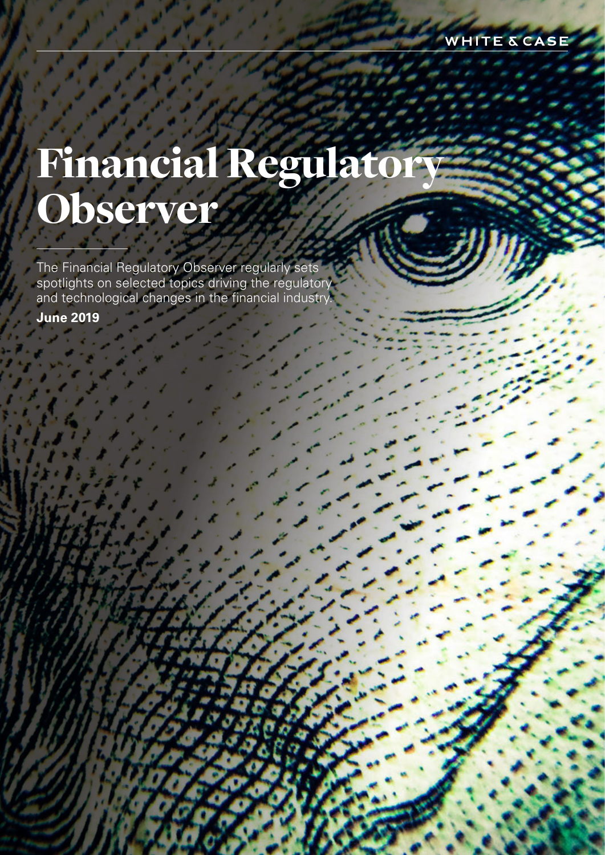registered limited liability partnership, which a limited limited limited limited limited limited limited limited limited limited limited limited limited partnership incorporated under English law and all other affiliated partnerships, companies and entities. is prepared for the general information of our clients and other interested persons. It is not, and does not attempt to be, comprehensive in nature. Due to be, comprehensive in nature. Due to be, comprehensive in the comprehensive in the comprehensive in the comprehensive in the comprehensive in the comprehensive in the comprehensive in  $t = t$  the general nature of  $t$ should not be regarded as legal advice. Attorney Advertising. Prior results do not guarantee a similar outcome.

### white company of the company of In this publication, White & Case means the international legal practice comprising White  $\mathcal{L}$  and  $\mathcal{L}$  and  $\mathcal{L}$ Financial Regulato Observer

The Financial Regulatory Observer regularly sets spotlights on selected topics driving the regulatory and technological changes in the financial industry.

**June 2019**

I White & Case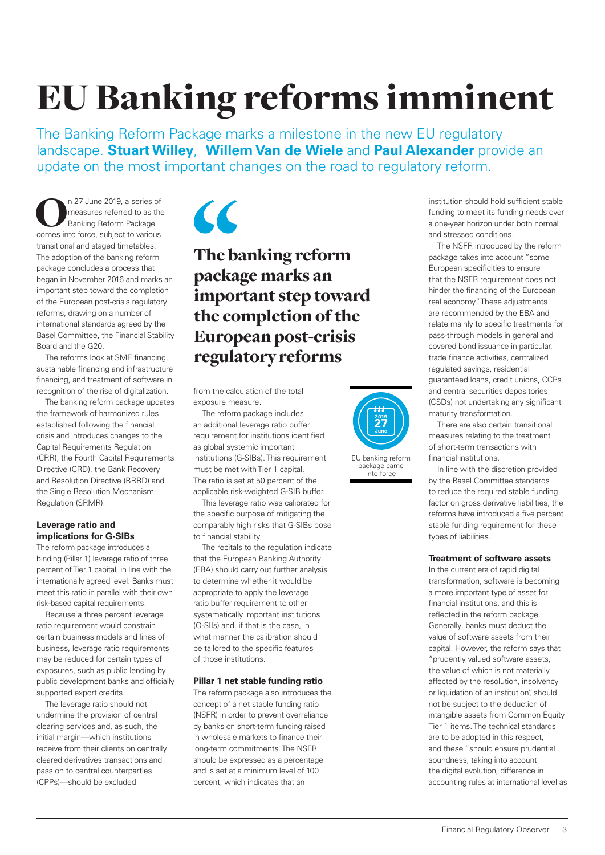# EU Banking reforms imminent

The Banking Reform Package marks a milestone in the new EU regulatory landscape. **Stuart Willey**, **Willem Van de Wiele** and **Paul Alexander** provide an update on the most important changes on the road to regulatory reform.

n 27 June 2019, a series of<br>
measures referred to as the<br>
Banking Reform Package<br>
comes into force, subject to various measures referred to as the Banking Reform Package comes into force, subject to various transitional and staged timetables. The adoption of the banking reform package concludes a process that began in November 2016 and marks an important step toward the completion of the European post-crisis regulatory reforms, drawing on a number of international standards agreed by the Basel Committee, the Financial Stability Board and the G20.

The reforms look at SME financing, sustainable financing and infrastructure financing, and treatment of software in recognition of the rise of digitalization.

The banking reform package updates the framework of harmonized rules established following the financial crisis and introduces changes to the Capital Requirements Regulation (CRR), the Fourth Capital Requirements Directive (CRD), the Bank Recovery and Resolution Directive (BRRD) and the Single Resolution Mechanism Regulation (SRMR).

#### **Leverage ratio and implications for G-SIBs**

The reform package introduces a binding (Pillar 1) leverage ratio of three percent of Tier 1 capital, in line with the internationally agreed level. Banks must meet this ratio in parallel with their own risk-based capital requirements.

Because a three percent leverage ratio requirement would constrain certain business models and lines of business, leverage ratio requirements may be reduced for certain types of exposures, such as public lending by public development banks and officially supported export credits.

The leverage ratio should not undermine the provision of central clearing services and, as such, the initial margin—which institutions receive from their clients on centrally cleared derivatives transactions and pass on to central counterparties (CPPs)—should be excluded



### The banking reform package marks an important step toward the completion of the European post-crisis regulatory reforms

from the calculation of the total exposure measure.

The reform package includes an additional leverage ratio buffer requirement for institutions identified as global systemic important institutions (G-SIBs). This requirement must be met with Tier 1 capital. The ratio is set at 50 percent of the applicable risk-weighted G-SIB buffer.

This leverage ratio was calibrated for the specific purpose of mitigating the comparably high risks that G-SIBs pose to financial stability.

The recitals to the regulation indicate that the European Banking Authority (EBA) should carry out further analysis to determine whether it would be appropriate to apply the leverage ratio buffer requirement to other systematically important institutions (O-SIIs) and, if that is the case, in what manner the calibration should be tailored to the specific features of those institutions.

#### **Pillar 1 net stable funding ratio**

The reform package also introduces the concept of a net stable funding ratio (NSFR) in order to prevent overreliance by banks on short-term funding raised in wholesale markets to finance their long-term commitments. The NSFR should be expressed as a percentage and is set at a minimum level of 100 percent, which indicates that an

institution should hold sufficient stable funding to meet its funding needs over a one-year horizon under both normal and stressed conditions.

The NSFR introduced by the reform package takes into account "some European specificities to ensure that the NSFR requirement does not hinder the financing of the European real economy". These adjustments are recommended by the EBA and relate mainly to specific treatments for pass-through models in general and covered bond issuance in particular, trade finance activities, centralized regulated savings, residential guaranteed loans, credit unions, CCPs and central securities depositories (CSDs) not undertaking any significant maturity transformation.

There are also certain transitional measures relating to the treatment of short-term transactions with financial institutions.

In line with the discretion provided by the Basel Committee standards to reduce the required stable funding factor on gross derivative liabilities, the reforms have introduced a five percent stable funding requirement for these types of liabilities.

#### **Treatment of software assets**

In the current era of rapid digital transformation, software is becoming a more important type of asset for financial institutions, and this is reflected in the reform package. Generally, banks must deduct the value of software assets from their capital. However, the reform says that "prudently valued software assets, the value of which is not materially affected by the resolution, insolvency or liquidation of an institution", should not be subject to the deduction of intangible assets from Common Equity Tier 1 items. The technical standards are to be adopted in this respect, and these "should ensure prudential soundness, taking into account the digital evolution, difference in accounting rules at international level as

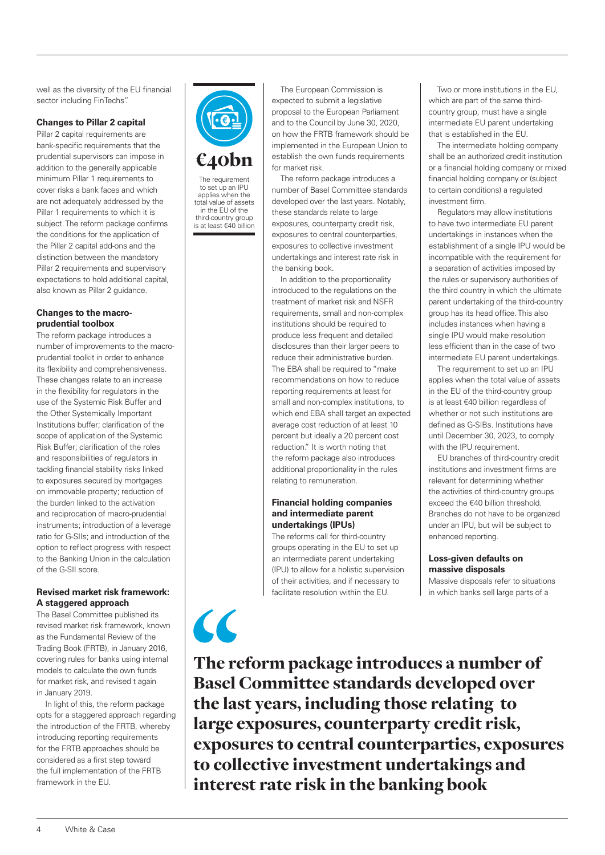well as the diversity of the EU financial sector including FinTechs".

#### **Changes to Pillar 2 capital**

Pillar 2 capital requirements are bank-specific requirements that the prudential supervisors can impose in addition to the generally applicable minimum Pillar 1 requirements to cover risks a bank faces and which are not adequately addressed by the Pillar 1 requirements to which it is subject. The reform package confirms the conditions for the application of the Pillar 2 capital add-ons and the distinction between the mandatory Pillar 2 requirements and supervisory expectations to hold additional capital, also known as Pillar 2 guidance.

#### **Changes to the macroprudential toolbox**

The reform package introduces a number of improvements to the macroprudential toolkit in order to enhance its flexibility and comprehensiveness. These changes relate to an increase in the flexibility for regulators in the use of the Systemic Risk Buffer and the Other Systemically Important Institutions buffer; clarification of the scope of application of the Systemic Risk Buffer; clarification of the roles and responsibilities of regulators in tackling financial stability risks linked to exposures secured by mortgages on immovable property; reduction of the burden linked to the activation and reciprocation of macro-prudential instruments; introduction of a leverage ratio for G-SIIs; and introduction of the option to reflect progress with respect to the Banking Union in the calculation of the G-SII score.

#### **Revised market risk framework: A staggered approach**

The Basel Committee published its revised market risk framework, known as the Fundamental Review of the Trading Book (FRTB), in January 2016, covering rules for banks using internal models to calculate the own funds for market risk, and revised t again in January 2019.

In light of this, the reform package opts for a staggered approach regarding the introduction of the FRTB, whereby introducing reporting requirements for the FRTB approaches should be considered as a first step toward the full implementation of the FRTB framework in the EU.



The requirement

to set up an IPU applies when the total value of assets in the EU of the third-country group is at least €40 billion

 $\epsilon$ 

The European Commission is expected to submit a legislative proposal to the European Parliament and to the Council by June 30, 2020, on how the FRTB framework should be implemented in the European Union to establish the own funds requirements for market risk.

The reform package introduces a number of Basel Committee standards developed over the last years. Notably, these standards relate to large exposures, counterparty credit risk, exposures to central counterparties, exposures to collective investment undertakings and interest rate risk in the banking book.

In addition to the proportionality introduced to the regulations on the treatment of market risk and NSFR requirements, small and non-complex institutions should be required to produce less frequent and detailed disclosures than their larger peers to reduce their administrative burden. The EBA shall be required to "make recommendations on how to reduce reporting requirements at least for small and non-complex institutions, to which end EBA shall target an expected average cost reduction of at least 10 percent but ideally a 20 percent cost reduction." It is worth noting that the reform package also introduces additional proportionality in the rules relating to remuneration.

#### **Financial holding companies and intermediate parent undertakings (IPUs)**

The reforms call for third-country groups operating in the EU to set up an intermediate parent undertaking (IPU) to allow for a holistic supervision of their activities, and if necessary to facilitate resolution within the EU.

Two or more institutions in the EU, which are part of the same thirdcountry group, must have a single intermediate EU parent undertaking that is established in the EU.

The intermediate holding company shall be an authorized credit institution or a financial holding company or mixed financial holding company or (subject to certain conditions) a regulated investment firm.

Regulators may allow institutions to have two intermediate EU parent undertakings in instances when the establishment of a single IPU would be incompatible with the requirement for a separation of activities imposed by the rules or supervisory authorities of the third country in which the ultimate parent undertaking of the third-country group has its head office. This also includes instances when having a single IPU would make resolution less efficient than in the case of two intermediate EU parent undertakings.

The requirement to set up an IPU applies when the total value of assets in the EU of the third-country group is at least €40 billion regardless of whether or not such institutions are defined as G-SIBs. Institutions have until December 30, 2023, to comply with the IPU requirement.

EU branches of third-country credit institutions and investment firms are relevant for determining whether the activities of third-country groups exceed the €40 billion threshold. Branches do not have to be organized under an IPU, but will be subject to enhanced reporting.

#### **Loss-given defaults on massive disposals**

Massive disposals refer to situations in which banks sell large parts of a

The reform package introduces a number of Basel Committee standards developed over the last years, including those relating to large exposures, counterparty credit risk, exposures to central counterparties, exposures to collective investment undertakings and interest rate risk in the banking book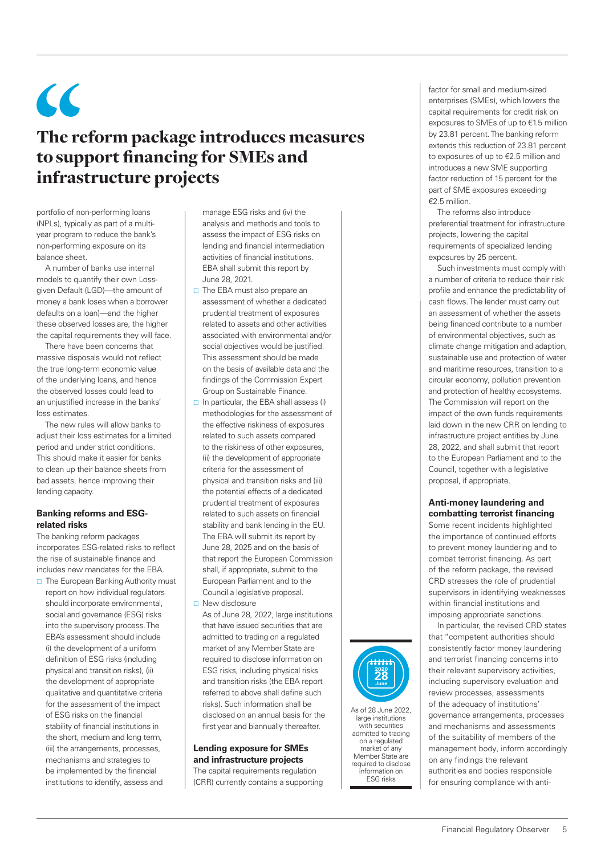$\epsilon$ 

### The reform package introduces measures to support financing for SMEs and infrastructure projects

portfolio of non-performing loans (NPLs), typically as part of a multiyear program to reduce the bank's non-performing exposure on its balance sheet.

A number of banks use internal models to quantify their own Lossgiven Default (LGD)—the amount of money a bank loses when a borrower defaults on a loan)—and the higher these observed losses are, the higher the capital requirements they will face.

There have been concerns that massive disposals would not reflect the true long-term economic value of the underlying loans, and hence the observed losses could lead to an unjustified increase in the banks' loss estimates.

The new rules will allow banks to adjust their loss estimates for a limited period and under strict conditions. This should make it easier for banks to clean up their balance sheets from bad assets, hence improving their lending capacity.

#### **Banking reforms and ESGrelated risks**

The banking reform packages incorporates ESG-related risks to reflect the rise of sustainable finance and includes new mandates for the EBA.

 $\Box$  The European Banking Authority must report on how individual regulators should incorporate environmental, social and governance (ESG) risks into the supervisory process. The EBA's assessment should include (i) the development of a uniform definition of ESG risks (including physical and transition risks), (ii) the development of appropriate qualitative and quantitative criteria for the assessment of the impact of ESG risks on the financial stability of financial institutions in the short, medium and long term, (iii) the arrangements, processes, mechanisms and strategies to be implemented by the financial institutions to identify, assess and

manage ESG risks and (iv) the analysis and methods and tools to assess the impact of ESG risks on lending and financial intermediation activities of financial institutions. EBA shall submit this report by June 28, 2021.

- $\Box$  The EBA must also prepare an assessment of whether a dedicated prudential treatment of exposures related to assets and other activities associated with environmental and/or social objectives would be justified. This assessment should be made on the basis of available data and the findings of the Commission Expert Group on Sustainable Finance.
- $\Box$  In particular, the EBA shall assess (i) methodologies for the assessment of the effective riskiness of exposures related to such assets compared to the riskiness of other exposures, (ii) the development of appropriate criteria for the assessment of physical and transition risks and (iii) the potential effects of a dedicated prudential treatment of exposures related to such assets on financial stability and bank lending in the EU. The EBA will submit its report by June 28, 2025 and on the basis of that report the European Commission shall, if appropriate, submit to the European Parliament and to the Council a legislative proposal. □ New disclosure
- As of June 28, 2022, large institutions that have issued securities that are admitted to trading on a regulated market of any Member State are required to disclose information on ESG risks, including physical risks and transition risks (the EBA report referred to above shall define such risks). Such information shall be disclosed on an annual basis for the first year and biannually thereafter.

#### **Lending exposure for SMEs and infrastructure projects**

The capital requirements regulation (CRR) currently contains a supporting



large institutions with securities admitted to trading on a regulated market of any Member State are required to disclose information on ESG risks

factor for small and medium-sized enterprises (SMEs), which lowers the capital requirements for credit risk on exposures to SMEs of up to €1.5 million by 23.81 percent. The banking reform extends this reduction of 23.81 percent to exposures of up to €2.5 million and introduces a new SME supporting factor reduction of 15 percent for the part of SME exposures exceeding  $€2.5$  million

The reforms also introduce preferential treatment for infrastructure projects, lowering the capital requirements of specialized lending exposures by 25 percent.

Such investments must comply with a number of criteria to reduce their risk profile and enhance the predictability of cash flows. The lender must carry out an assessment of whether the assets being financed contribute to a number of environmental objectives, such as climate change mitigation and adaption, sustainable use and protection of water and maritime resources, transition to a circular economy, pollution prevention and protection of healthy ecosystems. The Commission will report on the impact of the own funds requirements laid down in the new CRR on lending to infrastructure project entities by June 28, 2022, and shall submit that report to the European Parliament and to the Council, together with a legislative proposal, if appropriate.

#### **Anti-money laundering and combatting terrorist financing**

Some recent incidents highlighted the importance of continued efforts to prevent money laundering and to combat terrorist financing. As part of the reform package, the revised CRD stresses the role of prudential supervisors in identifying weaknesses within financial institutions and imposing appropriate sanctions.

In particular, the revised CRD states that "competent authorities should consistently factor money laundering and terrorist financing concerns into their relevant supervisory activities, including supervisory evaluation and review processes, assessments of the adequacy of institutions' governance arrangements, processes and mechanisms and assessments of the suitability of members of the management body, inform accordingly on any findings the relevant authorities and bodies responsible for ensuring compliance with anti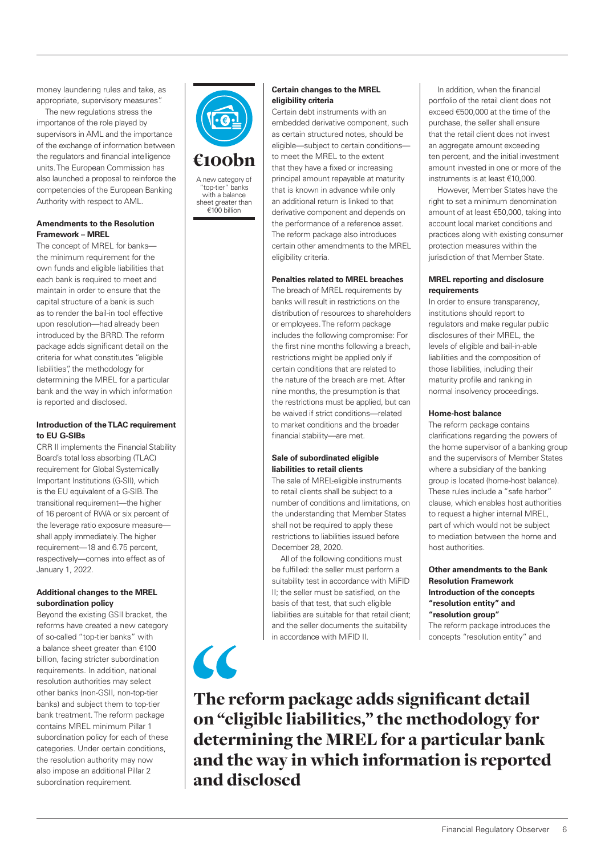money laundering rules and take, as appropriate, supervisory measures".

The new regulations stress the importance of the role played by supervisors in AML and the importance of the exchange of information between the regulators and financial intelligence units. The European Commission has also launched a proposal to reinforce the competencies of the European Banking Authority with respect to AML.

#### **Amendments to the Resolution Framework – MREL**

The concept of MREL for banks the minimum requirement for the own funds and eligible liabilities that each bank is required to meet and maintain in order to ensure that the capital structure of a bank is such as to render the bail-in tool effective upon resolution—had already been introduced by the BRRD. The reform package adds significant detail on the criteria for what constitutes "eligible liabilities", the methodology for determining the MREL for a particular bank and the way in which information is reported and disclosed.

#### **Introduction of the TLAC requirement to EU G-SIBs**

CRR II implements the Financial Stability Board's total loss absorbing (TLAC) requirement for Global Systemically Important Institutions (G-SII), which is the EU equivalent of a G-SIB. The transitional requirement—the higher of 16 percent of RWA or six percent of the leverage ratio exposure measure shall apply immediately. The higher requirement—18 and 6.75 percent, respectively—comes into effect as of January 1, 2022.

#### **Additional changes to the MREL subordination policy**

Beyond the existing GSII bracket, the reforms have created a new category of so-called "top-tier banks" with a balance sheet greater than €100 billion, facing stricter subordination requirements. In addition, national resolution authorities may select other banks (non-GSII, non-top-tier banks) and subject them to top-tier bank treatment. The reform package contains MREL minimum Pillar 1 subordination policy for each of these categories. Under certain conditions, the resolution authority may now also impose an additional Pillar 2 subordination requirement.



€100bn

A new category of "top-tier" banks with a balance sheet greater than  $£100$  billion

 $\overline{\mathcal{L}}$ 

#### **Certain changes to the MREL eligibility criteria**

Certain debt instruments with an embedded derivative component, such as certain structured notes, should be eligible—subject to certain conditions to meet the MREL to the extent that they have a fixed or increasing principal amount repayable at maturity that is known in advance while only an additional return is linked to that derivative component and depends on the performance of a reference asset. The reform package also introduces certain other amendments to the MREL eligibility criteria.

#### **Penalties related to MREL breaches**

The breach of MREL requirements by banks will result in restrictions on the distribution of resources to shareholders or employees. The reform package includes the following compromise: For the first nine months following a breach, restrictions might be applied only if certain conditions that are related to the nature of the breach are met. After nine months, the presumption is that the restrictions must be applied, but can be waived if strict conditions—related to market conditions and the broader financial stability—are met.

#### **Sale of subordinated eligible liabilities to retail clients**

The sale of MREL-eligible instruments to retail clients shall be subject to a number of conditions and limitations, on the understanding that Member States shall not be required to apply these restrictions to liabilities issued before December 28, 2020.

All of the following conditions must be fulfilled: the seller must perform a suitability test in accordance with MiFID II; the seller must be satisfied, on the basis of that test, that such eligible liabilities are suitable for that retail client; and the seller documents the suitability in accordance with MiFID II.

In addition, when the financial portfolio of the retail client does not exceed €500,000 at the time of the purchase, the seller shall ensure that the retail client does not invest an aggregate amount exceeding ten percent, and the initial investment amount invested in one or more of the instruments is at least €10,000.

However, Member States have the right to set a minimum denomination amount of at least €50,000, taking into account local market conditions and practices along with existing consumer protection measures within the jurisdiction of that Member State.

#### **MREL reporting and disclosure requirements**

In order to ensure transparency, institutions should report to regulators and make regular public disclosures of their MREL, the levels of eligible and bail-in-able liabilities and the composition of those liabilities, including their maturity profile and ranking in normal insolvency proceedings.

#### **Home-host balance**

The reform package contains clarifications regarding the powers of the home supervisor of a banking group and the supervisors of Member States where a subsidiary of the banking group is located (home-host balance). These rules include a "safe harbor" clause, which enables host authorities to request a higher internal MREL, part of which would not be subject to mediation between the home and host authorities.

#### **Other amendments to the Bank Resolution Framework Introduction of the concepts "resolution entity" and "resolution group"**

The reform package introduces the concepts "resolution entity" and

The reform package adds significant detail on "eligible liabilities," the methodology for determining the MREL for a particular bank and the way in which information is reported and disclosed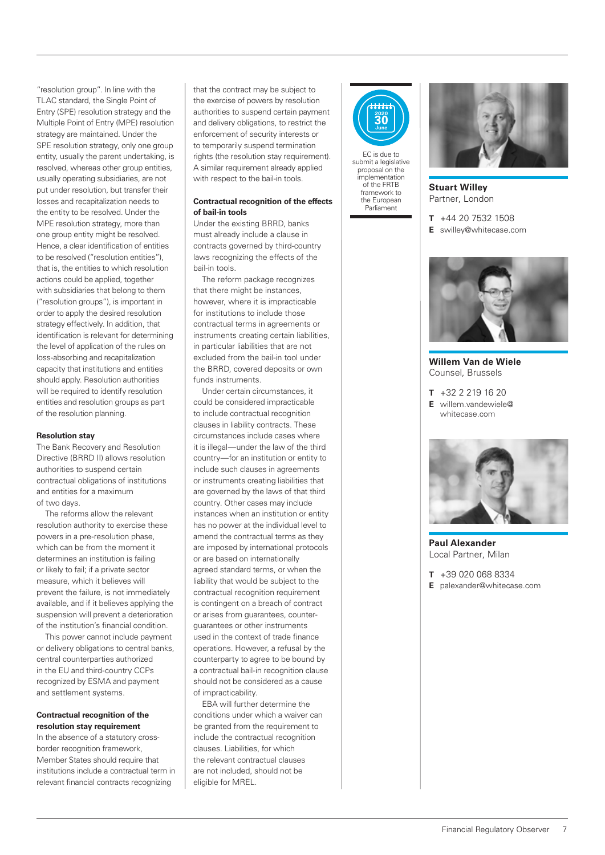"resolution group". In line with the TLAC standard, the Single Point of Entry (SPE) resolution strategy and the Multiple Point of Entry (MPE) resolution strategy are maintained. Under the SPE resolution strategy, only one group entity, usually the parent undertaking, is resolved, whereas other group entities, usually operating subsidiaries, are not put under resolution, but transfer their losses and recapitalization needs to the entity to be resolved. Under the MPE resolution strategy, more than one group entity might be resolved. Hence, a clear identification of entities to be resolved ("resolution entities"), that is, the entities to which resolution actions could be applied, together with subsidiaries that belong to them ("resolution groups"), is important in order to apply the desired resolution strategy effectively. In addition, that identification is relevant for determining the level of application of the rules on loss-absorbing and recapitalization capacity that institutions and entities should apply. Resolution authorities will be required to identify resolution entities and resolution groups as part of the resolution planning.

#### **Resolution stay**

The Bank Recovery and Resolution Directive (BRRD II) allows resolution authorities to suspend certain contractual obligations of institutions and entities for a maximum of two days.

The reforms allow the relevant resolution authority to exercise these powers in a pre-resolution phase, which can be from the moment it determines an institution is failing or likely to fail; if a private sector measure, which it believes will prevent the failure, is not immediately available, and if it believes applying the suspension will prevent a deterioration of the institution's financial condition.

This power cannot include payment or delivery obligations to central banks, central counterparties authorized in the EU and third-country CCPs recognized by ESMA and payment and settlement systems.

#### **Contractual recognition of the resolution stay requirement**

In the absence of a statutory crossborder recognition framework, Member States should require that institutions include a contractual term in relevant financial contracts recognizing

that the contract may be subject to the exercise of powers by resolution authorities to suspend certain payment and delivery obligations, to restrict the enforcement of security interests or to temporarily suspend termination rights (the resolution stay requirement). A similar requirement already applied with respect to the bail-in tools.

#### **Contractual recognition of the effects of bail-in tools**

Under the existing BRRD, banks must already include a clause in contracts governed by third-country laws recognizing the effects of the bail-in tools.

The reform package recognizes that there might be instances, however, where it is impracticable for institutions to include those contractual terms in agreements or instruments creating certain liabilities, in particular liabilities that are not excluded from the bail-in tool under the BRRD, covered deposits or own funds instruments.

Under certain circumstances, it could be considered impracticable to include contractual recognition clauses in liability contracts. These circumstances include cases where it is illegal—under the law of the third country—for an institution or entity to include such clauses in agreements or instruments creating liabilities that are governed by the laws of that third country. Other cases may include instances when an institution or entity has no power at the individual level to amend the contractual terms as they are imposed by international protocols or are based on internationally agreed standard terms, or when the liability that would be subject to the contractual recognition requirement is contingent on a breach of contract or arises from guarantees, counterguarantees or other instruments used in the context of trade finance operations. However, a refusal by the counterparty to agree to be bound by a contractual bail-in recognition clause should not be considered as a cause of impracticability.

EBA will further determine the conditions under which a waiver can be granted from the requirement to include the contractual recognition clauses. Liabilities, for which the relevant contractual clauses are not included, should not be eligible for MREL.



EC is due to submit a legislative proposal on the implementation of the FRTB framework to the European Parliament



**Stuart Willey** Partner, London

**T** +44 20 7532 1508

**E** swilley@whitecase.com



**Willem Van de Wiele** Counsel, Brussels

**T** +32 2 219 16 20 **E** willem.vandewiele@ whitecase.com



**Paul Alexander** Local Partner, Milan

**T** +39 020 068 8334

**E** palexander@whitecase.com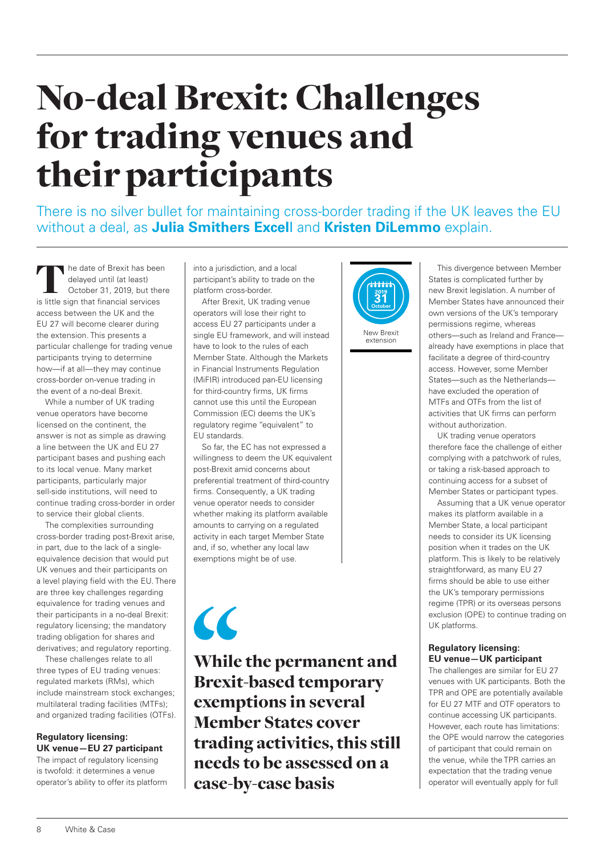### No-deal Brexit: Challenges for trading venues and their participants

There is no silver bullet for maintaining cross-border trading if the UK leaves the EU without a deal, as **Julia Smithers Excel**l and **Kristen DiLemmo** explain.

he date of Brexit has been delayed until (at least) October 31, 2019, but there is little sign that financial services access between the UK and the EU 27 will become clearer during the extension. This presents a particular challenge for trading venue participants trying to determine how—if at all—they may continue cross-border on-venue trading in the event of a no-deal Brexit.

While a number of UK trading venue operators have become licensed on the continent, the answer is not as simple as drawing a line between the UK and EU 27 participant bases and pushing each to its local venue. Many market participants, particularly major sell-side institutions, will need to continue trading cross-border in order to service their global clients.

The complexities surrounding cross-border trading post-Brexit arise, in part, due to the lack of a singleequivalence decision that would put UK venues and their participants on a level playing field with the EU. There are three key challenges regarding equivalence for trading venues and their participants in a no-deal Brexit: regulatory licensing; the mandatory trading obligation for shares and derivatives; and regulatory reporting.

These challenges relate to all three types of EU trading venues: regulated markets (RMs), which include mainstream stock exchanges; multilateral trading facilities (MTFs); and organized trading facilities (OTFs).

#### **Regulatory licensing: UK venue—EU 27 participant**

The impact of regulatory licensing is twofold: it determines a venue operator's ability to offer its platform into a jurisdiction, and a local participant's ability to trade on the platform cross-border.

After Brexit, UK trading venue operators will lose their right to access EU 27 participants under a single EU framework, and will instead have to look to the rules of each Member State. Although the Markets in Financial Instruments Regulation (MiFIR) introduced pan-EU licensing for third-country firms, UK firms cannot use this until the European Commission (EC) deems the UK's regulatory regime "equivalent" to EU standards.

So far, the EC has not expressed a willingness to deem the UK equivalent post-Brexit amid concerns about preferential treatment of third-country firms. Consequently, a UK trading venue operator needs to consider whether making its platform available amounts to carrying on a regulated activity in each target Member State and, if so, whether any local law exemptions might be of use.

# $\epsilon$

While the permanent and Brexit-based temporary exemptions in several Member States cover trading activities, this still needs to be assessed on a case-by-case basis



extension

This divergence between Member States is complicated further by new Brexit legislation. A number of Member States have announced their own versions of the UK's temporary permissions regime, whereas others—such as Ireland and France already have exemptions in place that facilitate a degree of third-country access. However, some Member States—such as the Netherlands have excluded the operation of MTFs and OTFs from the list of activities that UK firms can perform without authorization.

UK trading venue operators therefore face the challenge of either complying with a patchwork of rules, or taking a risk-based approach to continuing access for a subset of Member States or participant types.

Assuming that a UK venue operator makes its platform available in a Member State, a local participant needs to consider its UK licensing position when it trades on the UK platform. This is likely to be relatively straightforward, as many EU 27 firms should be able to use either the UK's temporary permissions regime (TPR) or its overseas persons exclusion (OPE) to continue trading on UK platforms.

#### **Regulatory licensing: EU venue—UK participant**

The challenges are similar for EU 27 venues with UK participants. Both the TPR and OPE are potentially available for EU 27 MTF and OTF operators to continue accessing UK participants. However, each route has limitations: the OPE would narrow the categories of participant that could remain on the venue, while the TPR carries an expectation that the trading venue operator will eventually apply for full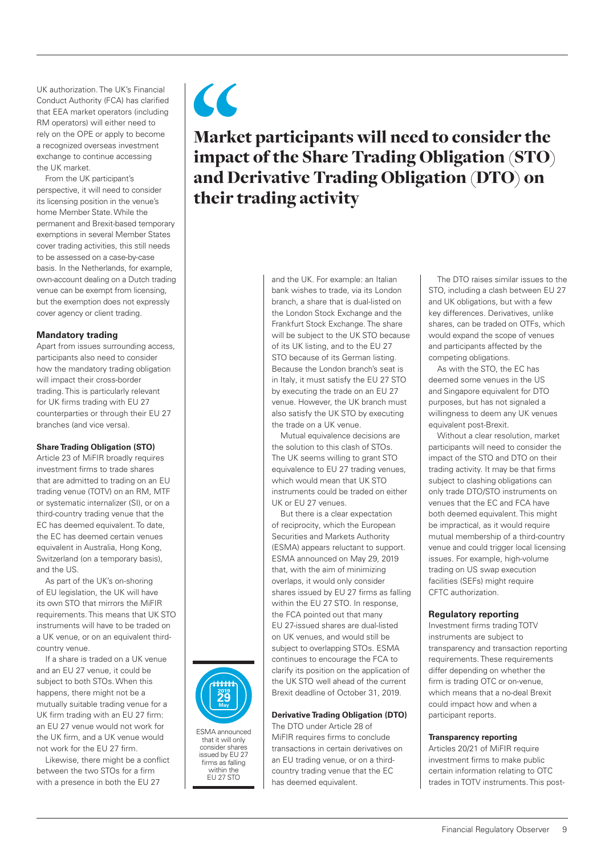UK authorization. The UK's Financial Conduct Authority (FCA) has clarified that EEA market operators (including RM operators) will either need to rely on the OPE or apply to become a recognized overseas investment exchange to continue accessing the UK market.

From the UK participant's perspective, it will need to consider its licensing position in the venue's home Member State. While the permanent and Brexit-based temporary exemptions in several Member States cover trading activities, this still needs to be assessed on a case-by-case basis. In the Netherlands, for example, own-account dealing on a Dutch trading venue can be exempt from licensing, but the exemption does not expressly cover agency or client trading.

#### **Mandatory trading**

Apart from issues surrounding access, participants also need to consider how the mandatory trading obligation will impact their cross-border trading. This is particularly relevant for UK firms trading with EU 27 counterparties or through their EU 27 branches (and vice versa).

#### **Share Trading Obligation (STO)**

Article 23 of MiFIR broadly requires investment firms to trade shares that are admitted to trading on an EU trading venue (TOTV) on an RM, MTF or systematic internalizer (SI), or on a third-country trading venue that the EC has deemed equivalent. To date, the EC has deemed certain venues equivalent in Australia, Hong Kong, Switzerland (on a temporary basis), and the US.

As part of the UK's on-shoring of EU legislation, the UK will have its own STO that mirrors the MiFIR requirements. This means that UK STO instruments will have to be traded on a UK venue, or on an equivalent thirdcountry venue.

If a share is traded on a UK venue and an EU 27 venue, it could be subject to both STOs. When this happens, there might not be a mutually suitable trading venue for a UK firm trading with an EU 27 firm: an EU 27 venue would not work for the UK firm, and a UK venue would not work for the EU 27 firm.

Likewise, there might be a conflict between the two STOs for a firm with a presence in both the EU 27



and the UK. For example: an Italian bank wishes to trade, via its London branch, a share that is dual-listed on the London Stock Exchange and the Frankfurt Stock Exchange. The share will be subject to the UK STO because of its UK listing, and to the EU 27 STO because of its German listing. Because the London branch's seat is in Italy, it must satisfy the EU 27 STO by executing the trade on an EU 27 venue. However, the UK branch must also satisfy the UK STO by executing the trade on a UK venue.

Mutual equivalence decisions are the solution to this clash of STOs. The UK seems willing to grant STO equivalence to EU 27 trading venues, which would mean that UK STO instruments could be traded on either UK or EU 27 venues.

But there is a clear expectation of reciprocity, which the European Securities and Markets Authority (ESMA) appears reluctant to support. ESMA announced on May 29, 2019 that, with the aim of minimizing overlaps, it would only consider shares issued by EU 27 firms as falling within the EU 27 STO. In response, the FCA pointed out that many EU 27-issued shares are dual-listed on UK venues, and would still be subject to overlapping STOs. ESMA continues to encourage the FCA to clarify its position on the application of the UK STO well ahead of the current Brexit deadline of October 31, 2019.

#### **Derivative Trading Obligation (DTO)**

The DTO under Article 28 of MiFIR requires firms to conclude transactions in certain derivatives on an EU trading venue, or on a thirdcountry trading venue that the EC has deemed equivalent.

The DTO raises similar issues to the STO, including a clash between EU 27 and UK obligations, but with a few key differences. Derivatives, unlike shares, can be traded on OTFs, which would expand the scope of venues and participants affected by the competing obligations.

As with the STO, the EC has deemed some venues in the US and Singapore equivalent for DTO purposes, but has not signaled a willingness to deem any UK venues equivalent post-Brexit.

Without a clear resolution, market participants will need to consider the impact of the STO and DTO on their trading activity. It may be that firms subject to clashing obligations can only trade DTO/STO instruments on venues that the EC and FCA have both deemed equivalent. This might be impractical, as it would require mutual membership of a third-country venue and could trigger local licensing

#### **Regulatory reporting**

Investment firms trading TOTV instruments are subject to transparency and transaction reporting requirements. These requirements differ depending on whether the firm is trading OTC or on-venue, which means that a no-deal Brexit could impact how and when a participant reports.

#### **Transparency reporting**

Articles 20/21 of MiFIR require investment firms to make public certain information relating to OTC trades in TOTV instruments. This post-



#### Financial Regulatory Observer 9



ESMA announced that it will only consider shares issued by EU 27 firms as falling within the EU 27 STO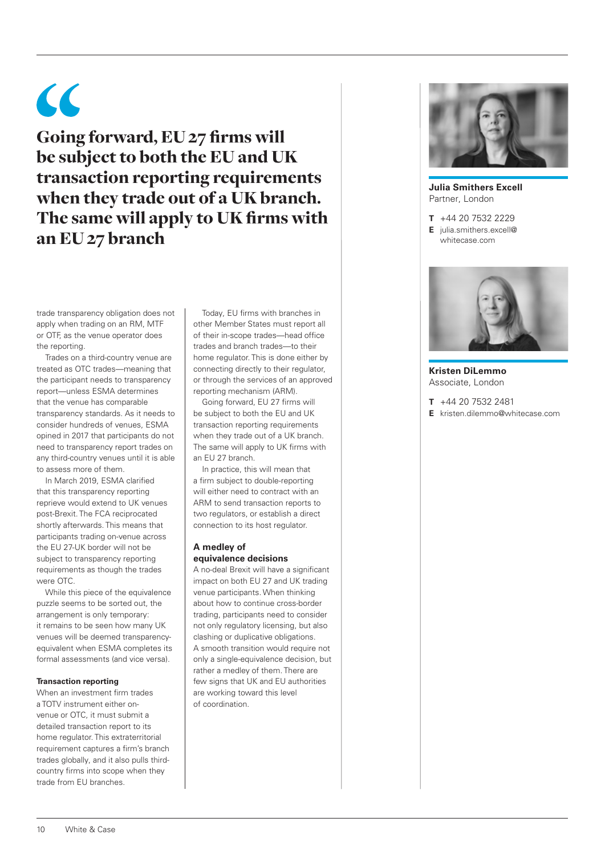# $\epsilon$

Going forward, EU 27 firms will be subject to both the EU and UK transaction reporting requirements when they trade out of a UK branch. The same will apply to UK firms with an EU 27 branch

trade transparency obligation does not apply when trading on an RM, MTF or OTF, as the venue operator does the reporting.

Trades on a third-country venue are treated as OTC trades—meaning that the participant needs to transparency report—unless ESMA determines that the venue has comparable transparency standards. As it needs to consider hundreds of venues, ESMA opined in 2017 that participants do not need to transparency report trades on any third-country venues until it is able to assess more of them.

In March 2019, ESMA clarified that this transparency reporting reprieve would extend to UK venues post-Brexit. The FCA reciprocated shortly afterwards. This means that participants trading on-venue across the EU 27-UK border will not be subject to transparency reporting requirements as though the trades were OTC.

While this piece of the equivalence puzzle seems to be sorted out, the arrangement is only temporary: it remains to be seen how many UK venues will be deemed transparencyequivalent when ESMA completes its formal assessments (and vice versa).

#### **Transaction reporting**

When an investment firm trades a TOTV instrument either onvenue or OTC, it must submit a detailed transaction report to its home regulator. This extraterritorial requirement captures a firm's branch trades globally, and it also pulls thirdcountry firms into scope when they trade from EU branches.

Today, EU firms with branches in other Member States must report all of their in-scope trades—head office trades and branch trades—to their home regulator. This is done either by connecting directly to their regulator, or through the services of an approved reporting mechanism (ARM).

Going forward, EU 27 firms will be subject to both the EU and UK transaction reporting requirements when they trade out of a UK branch. The same will apply to UK firms with an EU 27 branch.

In practice, this will mean that a firm subject to double-reporting will either need to contract with an ARM to send transaction reports to two regulators, or establish a direct connection to its host regulator.

#### **A medley of equivalence decisions**

A no-deal Brexit will have a significant impact on both EU 27 and UK trading venue participants. When thinking about how to continue cross-border trading, participants need to consider not only regulatory licensing, but also clashing or duplicative obligations. A smooth transition would require not only a single-equivalence decision, but rather a medley of them. There are few signs that UK and EU authorities are working toward this level of coordination.



**Julia Smithers Excell** Partner, London

**T** +44 20 7532 2229

**E** julia.smithers.excell@ whitecase.com



**Kristen DiLemmo** Associate, London

**T** +44 20 7532 2481

**E** kristen.dilemmo@whitecase.com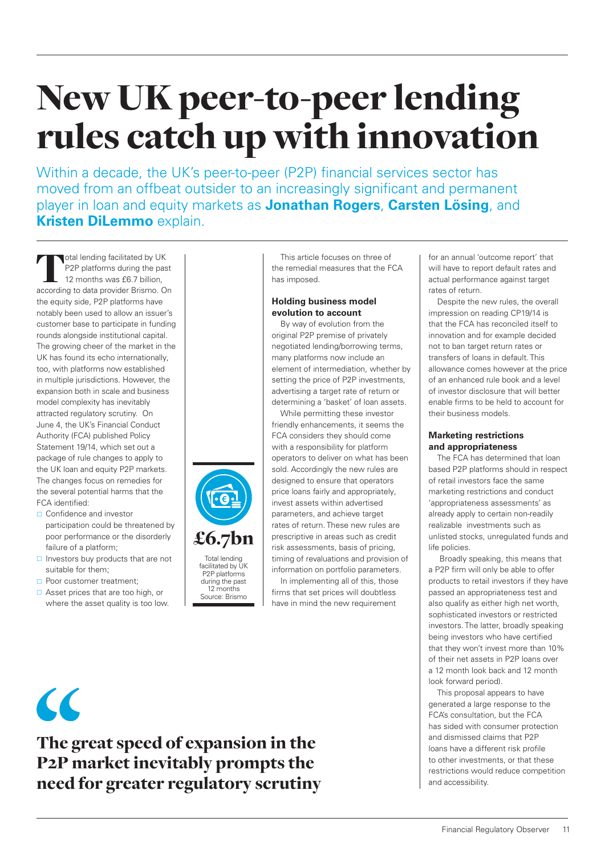### New UK peer-to-peer lending rules catch up with innovation

Within a decade, the UK's peer-to-peer (P2P) financial services sector has moved from an offbeat outsider to an increasingly significant and permanent player in loan and equity markets as **Jonathan Rogers**, **Carsten Lösing**, and **Kristen DiLemmo** explain.

Total lending facilitated by UK<br>
P2P platforms during the past<br>
12 months was £6.7 billion,<br>
according to data provider Brismo. On P2P platforms during the past 12 months was £6.7 billion, the equity side, P2P platforms have notably been used to allow an issuer's customer base to participate in funding rounds alongside institutional capital. The growing cheer of the market in the UK has found its echo internationally, too, with platforms now established in multiple jurisdictions. However, the expansion both in scale and business model complexity has inevitably attracted regulatory scrutiny. On June 4, the UK's Financial Conduct Authority (FCA) published Policy Statement 19/14, which set out a package of rule changes to apply to the UK loan and equity P2P markets. The changes focus on remedies for the several potential harms that the FCA identified:

- □ Confidence and investor participation could be threatened by poor performance or the disorderly failure of a platform;
- $\Box$  Investors buy products that are not suitable for them;
- **Poor customer treatment:**
- □ Asset prices that are too high, or where the asset quality is too low.



Total lending facilitated by UK P2P platforms during the past 12 months Source: Brismo

This article focuses on three of the remedial measures that the FCA has imposed.

#### **Holding business model evolution to account**

By way of evolution from the original P2P premise of privately negotiated lending/borrowing terms, many platforms now include an element of intermediation, whether by setting the price of P2P investments, advertising a target rate of return or determining a 'basket' of loan assets.

While permitting these investor friendly enhancements, it seems the FCA considers they should come with a responsibility for platform operators to deliver on what has been sold. Accordingly the new rules are designed to ensure that operators price loans fairly and appropriately, invest assets within advertised parameters, and achieve target rates of return. These new rules are prescriptive in areas such as credit risk assessments, basis of pricing, timing of revaluations and provision of

information on portfolio parameters. In implementing all of this, those firms that set prices will doubtless have in mind the new requirement

for an annual 'outcome report' that will have to report default rates and actual performance against target rates of return.

Despite the new rules, the overall impression on reading CP19/14 is that the FCA has reconciled itself to innovation and for example decided not to ban target return rates or transfers of loans in default. This allowance comes however at the price of an enhanced rule book and a level of investor disclosure that will better enable firms to be held to account for their business models.

#### **Marketing restrictions and appropriateness**

The FCA has determined that loan based P2P platforms should in respect of retail investors face the same marketing restrictions and conduct 'appropriateness assessments' as already apply to certain non-readily realizable investments such as unlisted stocks, unregulated funds and life policies.

 Broadly speaking, this means that a P2P firm will only be able to offer products to retail investors if they have passed an appropriateness test and also qualify as either high net worth, sophisticated investors or restricted investors. The latter, broadly speaking being investors who have certified that they won't invest more than 10% of their net assets in P2P loans over a 12 month look back and 12 month look forward period).

This proposal appears to have generated a large response to the FCA's consultation, but the FCA has sided with consumer protection and dismissed claims that P2P loans have a different risk profile to other investments, or that these restrictions would reduce competition and accessibility.

 $\alpha$ 

The great speed of expansion in the P2P market inevitably prompts the need for greater regulatory scrutiny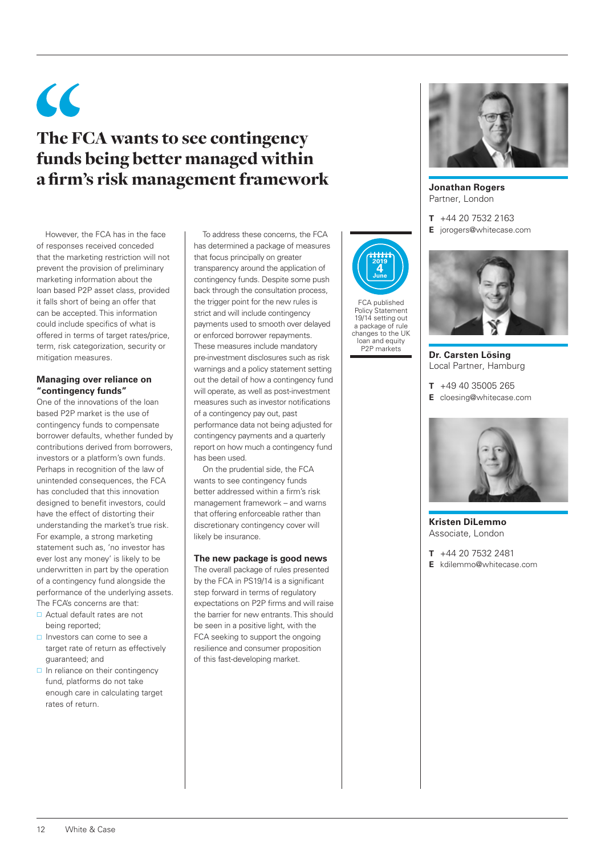### $\epsilon$ The FCA wants to see contingency funds being better managed within a firm's risk management framework

However, the FCA has in the face of responses received conceded that the marketing restriction will not prevent the provision of preliminary marketing information about the loan based P2P asset class, provided it falls short of being an offer that can be accepted. This information could include specifics of what is offered in terms of target rates/price, term, risk categorization, security or mitigation measures.

#### **Managing over reliance on "contingency funds"**

One of the innovations of the loan based P2P market is the use of contingency funds to compensate borrower defaults, whether funded by contributions derived from borrowers, investors or a platform's own funds. Perhaps in recognition of the law of unintended consequences, the FCA has concluded that this innovation designed to benefit investors, could have the effect of distorting their understanding the market's true risk. For example, a strong marketing statement such as, 'no investor has ever lost any money' is likely to be underwritten in part by the operation of a contingency fund alongside the performance of the underlying assets. The FCA's concerns are that:

- Actual default rates are not being reported;
- □ Investors can come to see a target rate of return as effectively guaranteed; and
- $\Box$  In reliance on their contingency fund, platforms do not take enough care in calculating target rates of return.

To address these concerns, the FCA has determined a package of measures that focus principally on greater transparency around the application of contingency funds. Despite some push back through the consultation process, the trigger point for the new rules is strict and will include contingency payments used to smooth over delayed or enforced borrower repayments. These measures include mandatory pre-investment disclosures such as risk warnings and a policy statement setting out the detail of how a contingency fund will operate, as well as post-investment measures such as investor notifications of a contingency pay out, past performance data not being adjusted for contingency payments and a quarterly report on how much a contingency fund has been used.

On the prudential side, the FCA wants to see contingency funds better addressed within a firm's risk management framework – and warns that offering enforceable rather than discretionary contingency cover will likely be insurance.

#### **The new package is good news**

The overall package of rules presented by the FCA in PS19/14 is a significant step forward in terms of regulatory expectations on P2P firms and will raise the barrier for new entrants. This should be seen in a positive light, with the FCA seeking to support the ongoing resilience and consumer proposition of this fast-developing market.



FCA published Policy Statement 19/14 setting out a package of rule changes to the UK loan and equity P2P markets



**Jonathan Rogers** Partner, London

- **T** +44 20 7532 2163
- **E** jorogers@whitecase.com



**Dr. Carsten Lösing** Local Partner, Hamburg

**T** +49 40 35005 265 **E** cloesing@whitecase.com



**Kristen DiLemmo** Associate, London

**T** +44 20 7532 2481 **E** kdilemmo@whitecase.com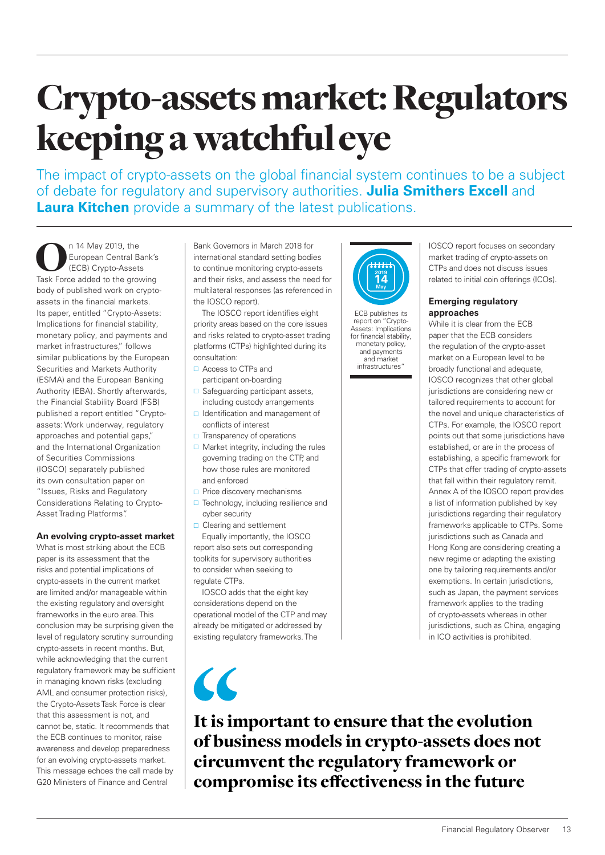# Crypto-assets market: Regulators keeping a watchful eye

The impact of crypto-assets on the global financial system continues to be a subject of debate for regulatory and supervisory authorities. **Julia Smithers Excell** and **Laura Kitchen** provide a summary of the latest publications.

n 14 May 2019, the<br>European Central Bank's<br>Task Force added to the growing European Central Bank's (ECB) Crypto-Assets body of published work on cryptoassets in the financial markets. Its paper, entitled "Crypto-Assets: Implications for financial stability, monetary policy, and payments and market infrastructures," follows similar publications by the European Securities and Markets Authority (ESMA) and the European Banking Authority (EBA). Shortly afterwards, the Financial Stability Board (FSB) published a report entitled "Cryptoassets: Work underway, regulatory approaches and potential gaps," and the International Organization of Securities Commissions (IOSCO) separately published its own consultation paper on "Issues, Risks and Regulatory Considerations Relating to Crypto-Asset Trading Platforms".

#### **An evolving crypto-asset market**

What is most striking about the ECB paper is its assessment that the risks and potential implications of crypto-assets in the current market are limited and/or manageable within the existing regulatory and oversight frameworks in the euro area. This conclusion may be surprising given the level of regulatory scrutiny surrounding crypto-assets in recent months. But, while acknowledging that the current regulatory framework may be sufficient in managing known risks (excluding AML and consumer protection risks), the Crypto-Assets Task Force is clear that this assessment is not, and cannot be, static. It recommends that the ECB continues to monitor, raise awareness and develop preparedness for an evolving crypto-assets market. This message echoes the call made by G20 Ministers of Finance and Central

Bank Governors in March 2018 for international standard setting bodies to continue monitoring crypto-assets and their risks, and assess the need for multilateral responses (as referenced in the IOSCO report).

The IOSCO report identifies eight priority areas based on the core issues and risks related to crypto-asset trading platforms (CTPs) highlighted during its consultation:

- □ Access to CTPs and participant on-boarding
- □ Safeguarding participant assets, including custody arrangements
- $\Box$  Identification and management of conflicts of interest
- $\Box$  Transparency of operations
- $\Box$  Market integrity, including the rules governing trading on the CTP, and how those rules are monitored and enforced
- Price discovery mechanisms
- $\Box$  Technology, including resilience and cyber security
- □ Clearing and settlement Equally importantly, the IOSCO report also sets out corresponding toolkits for supervisory authorities to consider when seeking to regulate CTPs.

IOSCO adds that the eight key considerations depend on the operational model of the CTP and may already be mitigated or addressed by existing regulatory frameworks. The

 $\overline{\mathcal{C}}$ 



ECB publishes its report on "Crypto-Assets: Implications for financial stability, monetary policy, and payments and market infrastructures"

IOSCO report focuses on secondary market trading of crypto-assets on CTPs and does not discuss issues related to initial coin offerings (ICOs).

#### **Emerging regulatory approaches**

While it is clear from the ECB paper that the ECB considers the regulation of the crypto-asset market on a European level to be broadly functional and adequate, IOSCO recognizes that other global jurisdictions are considering new or tailored requirements to account for the novel and unique characteristics of CTPs. For example, the IOSCO report points out that some jurisdictions have established, or are in the process of establishing, a specific framework for CTPs that offer trading of crypto-assets that fall within their regulatory remit. Annex A of the IOSCO report provides a list of information published by key jurisdictions regarding their regulatory frameworks applicable to CTPs. Some jurisdictions such as Canada and Hong Kong are considering creating a new regime or adapting the existing one by tailoring requirements and/or exemptions. In certain jurisdictions, such as Japan, the payment services framework applies to the trading of crypto-assets whereas in other jurisdictions, such as China, engaging in ICO activities is prohibited.

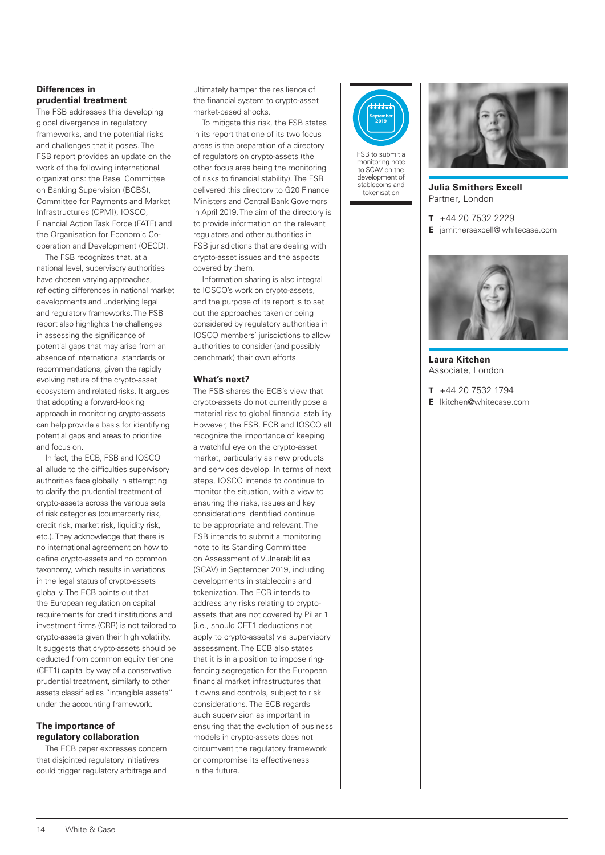#### **Differences in prudential treatment**

The FSB addresses this developing global divergence in regulatory frameworks, and the potential risks and challenges that it poses. The FSB report provides an update on the work of the following international organizations: the Basel Committee on Banking Supervision (BCBS), Committee for Payments and Market Infrastructures (CPMI), IOSCO, Financial Action Task Force (FATF) and the Organisation for Economic Cooperation and Development (OECD).

The FSB recognizes that, at a national level, supervisory authorities have chosen varying approaches, reflecting differences in national market developments and underlying legal and regulatory frameworks. The FSB report also highlights the challenges in assessing the significance of potential gaps that may arise from an absence of international standards or recommendations, given the rapidly evolving nature of the crypto-asset ecosystem and related risks. It argues that adopting a forward-looking approach in monitoring crypto-assets can help provide a basis for identifying potential gaps and areas to prioritize and focus on.

In fact, the ECB, FSB and IOSCO all allude to the difficulties supervisory authorities face globally in attempting to clarify the prudential treatment of crypto-assets across the various sets of risk categories (counterparty risk, credit risk, market risk, liquidity risk, etc.). They acknowledge that there is no international agreement on how to define crypto-assets and no common taxonomy, which results in variations in the legal status of crypto-assets globally. The ECB points out that the European regulation on capital requirements for credit institutions and investment firms (CRR) is not tailored to crypto-assets given their high volatility. It suggests that crypto-assets should be deducted from common equity tier one (CET1) capital by way of a conservative prudential treatment, similarly to other assets classified as "intangible assets" under the accounting framework.

#### **The importance of regulatory collaboration**

The ECB paper expresses concern that disjointed regulatory initiatives could trigger regulatory arbitrage and

ultimately hamper the resilience of the financial system to crypto-asset market-based shocks.

To mitigate this risk, the FSB states in its report that one of its two focus areas is the preparation of a directory of regulators on crypto-assets (the other focus area being the monitoring of risks to financial stability). The FSB delivered this directory to G20 Finance Ministers and Central Bank Governors in April 2019. The aim of the directory is to provide information on the relevant regulators and other authorities in FSB jurisdictions that are dealing with crypto-asset issues and the aspects covered by them.

Information sharing is also integral to IOSCO's work on crypto-assets, and the purpose of its report is to set out the approaches taken or being considered by regulatory authorities in IOSCO members' jurisdictions to allow authorities to consider (and possibly benchmark) their own efforts.

#### **What's next?**

The FSB shares the ECB's view that crypto-assets do not currently pose a material risk to global financial stability. However, the FSB, ECB and IOSCO all recognize the importance of keeping a watchful eye on the crypto-asset market, particularly as new products and services develop. In terms of next steps, IOSCO intends to continue to monitor the situation, with a view to ensuring the risks, issues and key considerations identified continue to be appropriate and relevant. The FSB intends to submit a monitoring note to its Standing Committee on Assessment of Vulnerabilities (SCAV) in September 2019, including developments in stablecoins and tokenization. The ECB intends to address any risks relating to cryptoassets that are not covered by Pillar 1 (i.e., should CET1 deductions not apply to crypto-assets) via supervisory assessment. The ECB also states that it is in a position to impose ringfencing segregation for the European financial market infrastructures that it owns and controls, subject to risk considerations. The ECB regards such supervision as important in ensuring that the evolution of business models in crypto-assets does not circumvent the regulatory framework or compromise its effectiveness in the future.



FSB to submit a monitoring note to SCAV on the development of stablecoins and tokenisation



**Julia Smithers Excell** Partner, London

- **T** +44 20 7532 2229
- **E** jsmithersexcell@ whitecase.com



**Laura Kitchen** Associate, London

- **T** +44 20 7532 1794
- **E** lkitchen@whitecase.com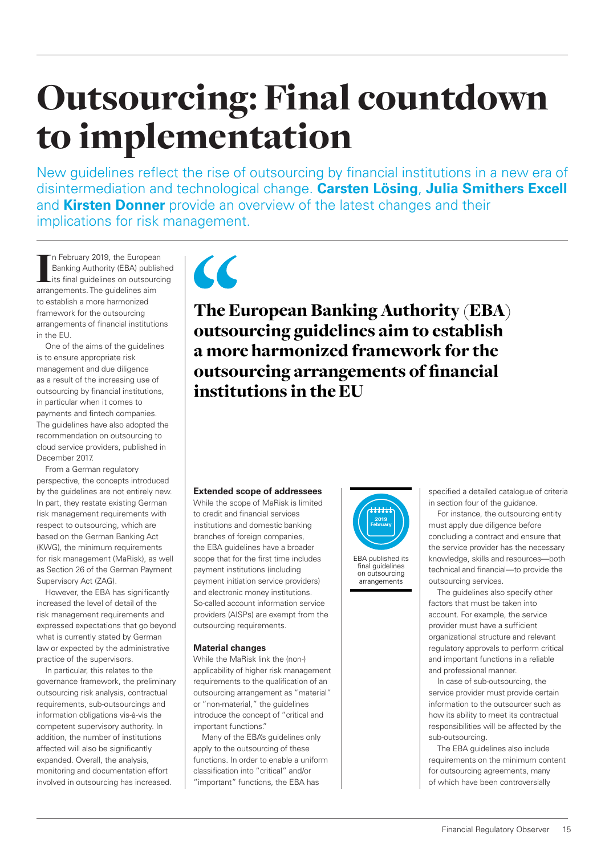# Outsourcing: Final countdown to implementation

New guidelines reflect the rise of outsourcing by financial institutions in a new era of disintermediation and technological change. **Carsten Lösing**, **Julia Smithers Excell**  and **Kirsten Donner** provide an overview of the latest changes and their implications for risk management.

In February 2019, the European<br>Banking Authority (EBA) publis<br>its final guidelines on outsour<br>arrangements. The guidelines aim n February 2019, the European Banking Authority (EBA) published its final guidelines on outsourcing to establish a more harmonized framework for the outsourcing arrangements of financial institutions in the EU.

One of the aims of the guidelines is to ensure appropriate risk management and due diligence as a result of the increasing use of outsourcing by financial institutions, in particular when it comes to payments and fintech companies. The guidelines have also adopted the recommendation on outsourcing to cloud service providers, published in December 2017.

From a German regulatory perspective, the concepts introduced by the guidelines are not entirely new. In part, they restate existing German risk management requirements with respect to outsourcing, which are based on the German Banking Act (KWG), the minimum requirements for risk management (MaRisk), as well as Section 26 of the German Payment Supervisory Act (ZAG).

However, the EBA has significantly increased the level of detail of the risk management requirements and expressed expectations that go beyond what is currently stated by German law or expected by the administrative practice of the supervisors.

In particular, this relates to the governance framework, the preliminary outsourcing risk analysis, contractual requirements, sub-outsourcings and information obligations vis-à-vis the competent supervisory authority. In addition, the number of institutions affected will also be significantly expanded. Overall, the analysis, monitoring and documentation effort involved in outsourcing has increased.



The European Banking Authority (EBA) outsourcing guidelines aim to establish a more harmonized framework for the outsourcing arrangements of financial institutions in the EU

#### **Extended scope of addressees**

While the scope of MaRisk is limited to credit and financial services institutions and domestic banking branches of foreign companies, the EBA guidelines have a broader scope that for the first time includes payment institutions (including payment initiation service providers) and electronic money institutions. So-called account information service providers (AISPs) are exempt from the outsourcing requirements.

#### **Material changes**

While the MaRisk link the (non-) applicability of higher risk management requirements to the qualification of an outsourcing arrangement as "material" or "non-material," the guidelines introduce the concept of "critical and important functions."

Many of the EBA's guidelines only apply to the outsourcing of these functions. In order to enable a uniform classification into "critical" and/or "important" functions, the EBA has



EBA published its final guidelines on outsourcing arrangements

specified a detailed catalogue of criteria in section four of the guidance.

For instance, the outsourcing entity must apply due diligence before concluding a contract and ensure that the service provider has the necessary knowledge, skills and resources—both technical and financial—to provide the outsourcing services.

The guidelines also specify other factors that must be taken into account. For example, the service provider must have a sufficient organizational structure and relevant regulatory approvals to perform critical and important functions in a reliable and professional manner.

In case of sub-outsourcing, the service provider must provide certain information to the outsourcer such as how its ability to meet its contractual responsibilities will be affected by the sub-outsourcing.

The EBA guidelines also include requirements on the minimum content for outsourcing agreements, many of which have been controversially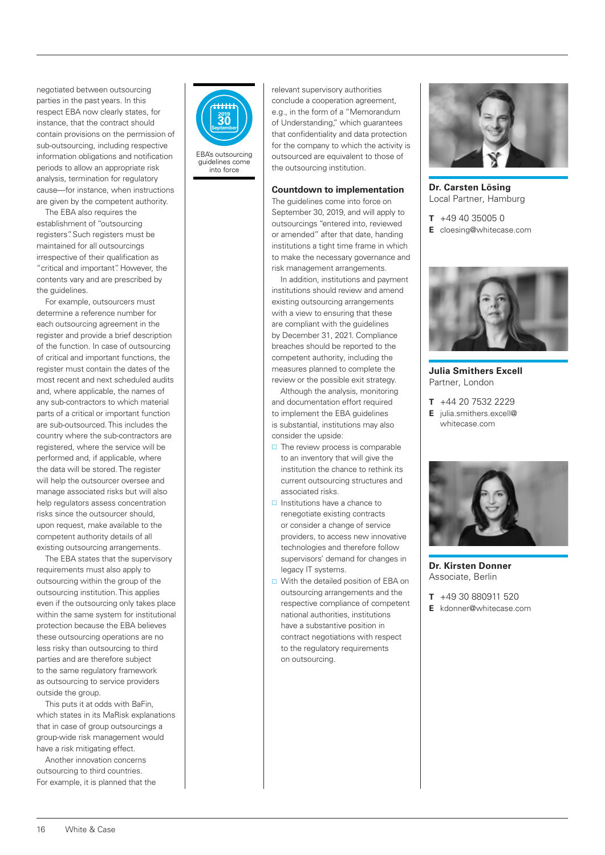negotiated between outsourcing parties in the past years. In this respect EBA now clearly states, for instance, that the contract should contain provisions on the permission of sub-outsourcing, including respective information obligations and notification periods to allow an appropriate risk analysis, termination for regulatory cause—for instance, when instructions are given by the competent authority.

The EBA also requires the establishment of "outsourcing registers". Such registers must be maintained for all outsourcings irrespective of their qualification as "critical and important". However, the contents vary and are prescribed by the guidelines.

For example, outsourcers must determine a reference number for each outsourcing agreement in the register and provide a brief description of the function. In case of outsourcing of critical and important functions, the register must contain the dates of the most recent and next scheduled audits and, where applicable, the names of any sub-contractors to which material parts of a critical or important function are sub-outsourced. This includes the country where the sub-contractors are registered, where the service will be performed and, if applicable, where the data will be stored. The register will help the outsourcer oversee and manage associated risks but will also help regulators assess concentration risks since the outsourcer should, upon request, make available to the competent authority details of all existing outsourcing arrangements.

The EBA states that the supervisory requirements must also apply to outsourcing within the group of the outsourcing institution. This applies even if the outsourcing only takes place within the same system for institutional protection because the EBA believes these outsourcing operations are no less risky than outsourcing to third parties and are therefore subject to the same regulatory framework as outsourcing to service providers outside the group.

This puts it at odds with BaFin, which states in its MaRisk explanations that in case of group outsourcings a group-wide risk management would have a risk mitigating effect.

Another innovation concerns outsourcing to third countries. For example, it is planned that the



guidelines come into force

relevant supervisory authorities conclude a cooperation agreement, e.g., in the form of a "Memorandum of Understanding," which guarantees that confidentiality and data protection for the company to which the activity is outsourced are equivalent to those of the outsourcing institution.

#### **Countdown to implementation**

The guidelines come into force on September 30, 2019, and will apply to outsourcings "entered into, reviewed or amended" after that date, handing institutions a tight time frame in which to make the necessary governance and risk management arrangements.

In addition, institutions and payment institutions should review and amend existing outsourcing arrangements with a view to ensuring that these are compliant with the guidelines by December 31, 2021. Compliance breaches should be reported to the competent authority, including the measures planned to complete the review or the possible exit strategy.

Although the analysis, monitoring and documentation effort required to implement the EBA guidelines is substantial, institutions may also consider the upside:

- $\Box$  The review process is comparable to an inventory that will give the institution the chance to rethink its current outsourcing structures and associated risks.
- $\Box$  Institutions have a chance to renegotiate existing contracts or consider a change of service providers, to access new innovative technologies and therefore follow supervisors' demand for changes in legacy IT systems.
- □ With the detailed position of EBA on outsourcing arrangements and the respective compliance of competent national authorities, institutions have a substantive position in contract negotiations with respect to the regulatory requirements on outsourcing.



**Dr. Carsten Lösing** Local Partner, Hamburg

- **T** +49 40 35005 0
- **E** cloesing@whitecase.com



**Julia Smithers Excell** Partner, London

**T** +44 20 7532 2229 **E** julia.smithers.excell@ whitecase.com



**Dr. Kirsten Donner** Associate, Berlin

- **T** +49 30 880911 520
- **E** kdonner@whitecase.com